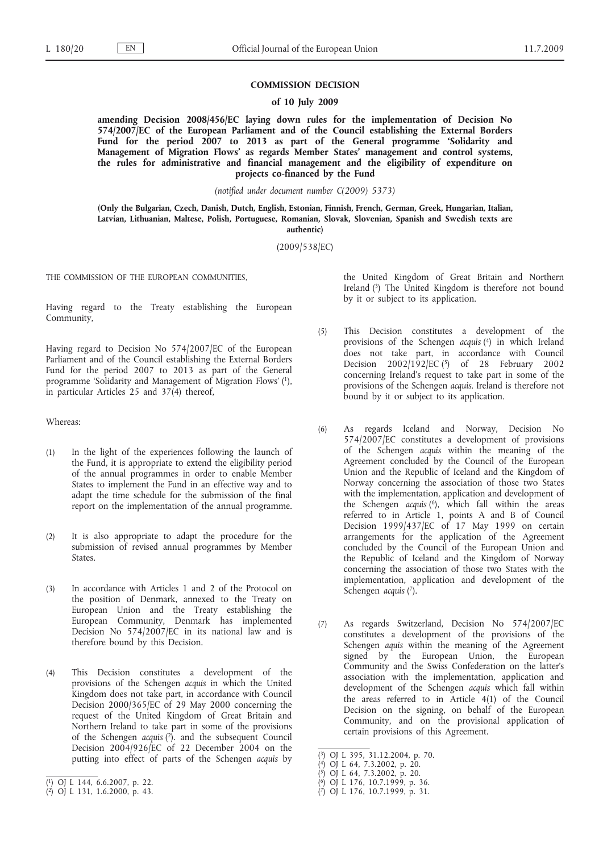#### **COMMISSION DECISION**

**of 10 July 2009**

**amending Decision 2008/456/EC laying down rules for the implementation of Decision No 574/2007/EC of the European Parliament and of the Council establishing the External Borders Fund for the period 2007 to 2013 as part of the General programme 'Solidarity and Management of Migration Flows' as regards Member States' management and control systems, the rules for administrative and financial management and the eligibility of expenditure on projects co-financed by the Fund**

*(notified under document number C(2009) 5373)*

**(Only the Bulgarian, Czech, Danish, Dutch, English, Estonian, Finnish, French, German, Greek, Hungarian, Italian, Latvian, Lithuanian, Maltese, Polish, Portuguese, Romanian, Slovak, Slovenian, Spanish and Swedish texts are authentic)**

(2009/538/EC)

THE COMMISSION OF THE EUROPEAN COMMUNITIES,

Having regard to the Treaty establishing the European Community,

Having regard to Decision No 574/2007/EC of the European Parliament and of the Council establishing the External Borders Fund for the period 2007 to 2013 as part of the General programme 'Solidarity and Management of Migration Flows' (1), in particular Articles 25 and 37(4) thereof,

## Whereas:

- (1) In the light of the experiences following the launch of the Fund, it is appropriate to extend the eligibility period of the annual programmes in order to enable Member States to implement the Fund in an effective way and to adapt the time schedule for the submission of the final report on the implementation of the annual programme.
- (2) It is also appropriate to adapt the procedure for the submission of revised annual programmes by Member States.
- (3) In accordance with Articles 1 and 2 of the Protocol on the position of Denmark, annexed to the Treaty on European Union and the Treaty establishing the European Community, Denmark has implemented Decision No 574/2007/EC in its national law and is therefore bound by this Decision.
- (4) This Decision constitutes a development of the provisions of the Schengen *acquis* in which the United Kingdom does not take part, in accordance with Council Decision 2000/365/EC of 29 May 2000 concerning the request of the United Kingdom of Great Britain and Northern Ireland to take part in some of the provisions of the Schengen *acquis* (2). and the subsequent Council Decision  $2004/926$  EC of 22 December 2004 on the putting into effect of parts of the Schengen *acquis* by

the United Kingdom of Great Britain and Northern Ireland (3) The United Kingdom is therefore not bound by it or subject to its application.

- (5) This Decision constitutes a development of the provisions of the Schengen *acquis* (4) in which Ireland does not take part, in accordance with Council Decision 2002/192/EC (5) of 28 February 2002 concerning Ireland's request to take part in some of the provisions of the Schengen *acquis*. Ireland is therefore not bound by it or subject to its application.
- (6) As regards Iceland and Norway, Decision No 574/2007/EC constitutes a development of provisions of the Schengen *acquis* within the meaning of the Agreement concluded by the Council of the European Union and the Republic of Iceland and the Kingdom of Norway concerning the association of those two States with the implementation, application and development of the Schengen *acquis* (6), which fall within the areas referred to in Article 1, points A and B of Council Decision 1999/437/EC of 17 May 1999 on certain arrangements for the application of the Agreement concluded by the Council of the European Union and the Republic of Iceland and the Kingdom of Norway concerning the association of those two States with the implementation, application and development of the Schengen *acquis* (7).
- (7) As regards Switzerland, Decision No 574/2007/EC constitutes a development of the provisions of the Schengen *aquis* within the meaning of the Agreement signed by the European Union, the European Community and the Swiss Confederation on the latter's association with the implementation, application and development of the Schengen *acquis* which fall within the areas referred to in Article 4(1) of the Council Decision on the signing, on behalf of the European Community, and on the provisional application of certain provisions of this Agreement.

<sup>(</sup> 1) OJ L 144, 6.6.2007, p. 22.

<sup>(</sup> 2) OJ L 131, 1.6.2000, p. 43.

<sup>(</sup> 3) OJ L 395, 31.12.2004, p. 70.

<sup>(</sup> 4) OJ L 64, 7.3.2002, p. 20.

<sup>(</sup> 5) OJ L 64, 7.3.2002, p. 20.

<sup>(</sup> 6) OJ L 176, 10.7.1999, p. 36.

<sup>(</sup> 7) OJ L 176, 10.7.1999, p. 31.